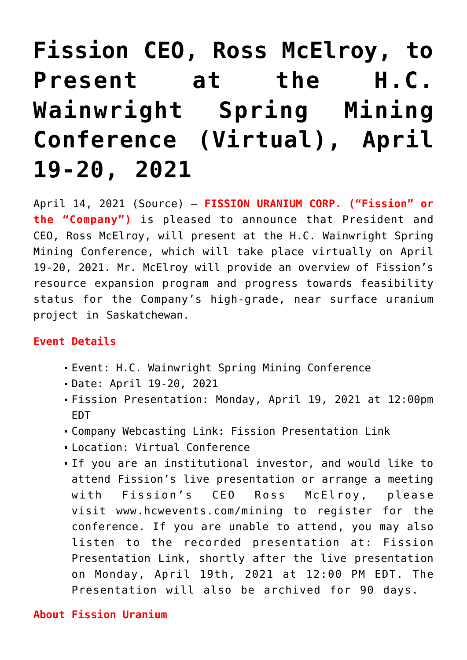# **[Fission CEO, Ross McElroy, to](https://investorintel.com/markets/uranium-energy/uranium-energy-news/fission-ceo-ross-mcelroy-to-present-at-the-h-c-wainwright-spring-mining-conference-virtual-april-19-20-2021/) [Present at the H.C.](https://investorintel.com/markets/uranium-energy/uranium-energy-news/fission-ceo-ross-mcelroy-to-present-at-the-h-c-wainwright-spring-mining-conference-virtual-april-19-20-2021/) [Wainwright Spring Mining](https://investorintel.com/markets/uranium-energy/uranium-energy-news/fission-ceo-ross-mcelroy-to-present-at-the-h-c-wainwright-spring-mining-conference-virtual-april-19-20-2021/) [Conference \(Virtual\), April](https://investorintel.com/markets/uranium-energy/uranium-energy-news/fission-ceo-ross-mcelroy-to-present-at-the-h-c-wainwright-spring-mining-conference-virtual-april-19-20-2021/) [19-20, 2021](https://investorintel.com/markets/uranium-energy/uranium-energy-news/fission-ceo-ross-mcelroy-to-present-at-the-h-c-wainwright-spring-mining-conference-virtual-april-19-20-2021/)**

April 14, 2021 ([Source](https://www.newswire.ca/news-releases/fission-ceo-ross-mcelroy-to-present-at-the-h-c-wainwright-spring-mining-conference-virtual-april-19-20-2021-840956894.html)) — **FISSION URANIUM CORP. ("Fission" or the "Company")** is pleased to announce that President and CEO, Ross McElroy, will present at the H.C. Wainwright Spring Mining Conference, which will take place virtually on April 19-20, 2021. Mr. McElroy will provide an overview of Fission's resource expansion program and progress towards feasibility status for the Company's high-grade, near surface uranium project in Saskatchewan.

## **Event Details**

- Event: H.C. Wainwright Spring Mining Conference
- Date: April 19-20, 2021
- Fission Presentation: Monday, April 19, 2021 at 12:00pm EDT
- Company Webcasting Link: [Fission Presentation Link](https://c212.net/c/link/?t=0&l=en&o=3128588-1&h=778674977&u=https%3A%2F%2Fjourney.ct.events%2Fview%2Fe42422e0-0784-42b5-9fa2-e591205b689c&a=Fission+Presentation+Link)
- Location: Virtual Conference
- If you are an institutional investor, and would like to attend Fission's live presentation or arrange a meeting with Fission's CEO Ross McElroy, please visit [www.hcwevents.com/mining](https://c212.net/c/link/?t=0&l=en&o=3128588-1&h=3368558530&u=http%3A%2F%2Fwww.hcwevents.com%2Fmining&a=www.hcwevents.com%2Fmining) to register for the conference. If you are unable to attend, you may also listen to the recorded presentation at: [Fission](https://c212.net/c/link/?t=0&l=en&o=3128588-1&h=778674977&u=https%3A%2F%2Fjourney.ct.events%2Fview%2Fe42422e0-0784-42b5-9fa2-e591205b689c&a=Fission+Presentation+Link) [Presentation Link,](https://c212.net/c/link/?t=0&l=en&o=3128588-1&h=778674977&u=https%3A%2F%2Fjourney.ct.events%2Fview%2Fe42422e0-0784-42b5-9fa2-e591205b689c&a=Fission+Presentation+Link) shortly after the live presentation on Monday, April 19th, 2021 at 12:00 PM EDT. The Presentation will also be archived for 90 days.

## **About Fission Uranium**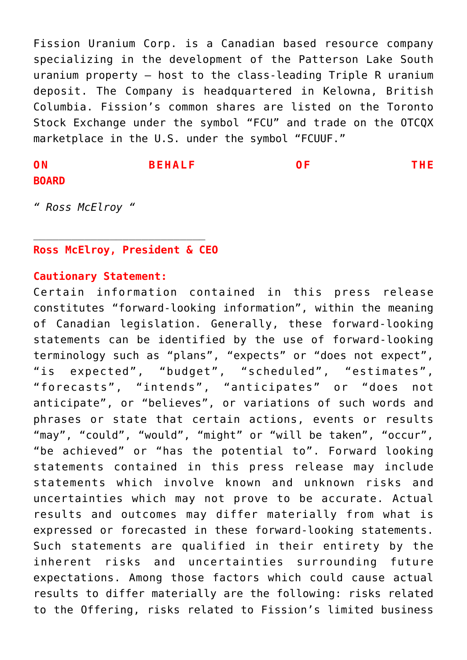Fission Uranium Corp. is a Canadian based resource company specializing in the development of the Patterson Lake South uranium property – host to the class-leading Triple R uranium deposit. The Company is headquartered in Kelowna, British Columbia. Fission's common shares are listed on the Toronto Stock Exchange under the symbol "FCU" and trade on the OTCQX marketplace in the U.S. under the symbol "FCUUF."

# **ON BEHALF OF THE BOARD**

*" Ross McElroy "*

### **Ross McElroy, President & CEO**

*\_\_\_\_\_\_\_\_\_\_\_\_\_\_\_\_\_\_\_\_\_\_\_\_\_\_\_*

#### **Cautionary Statement:**

Certain information contained in this press release constitutes "forward-looking information", within the meaning of Canadian legislation. Generally, these forward-looking statements can be identified by the use of forward-looking terminology such as "plans", "expects" or "does not expect", "is expected", "budget", "scheduled", "estimates", "forecasts", "intends", "anticipates" or "does not anticipate", or "believes", or variations of such words and phrases or state that certain actions, events or results "may", "could", "would", "might" or "will be taken", "occur", "be achieved" or "has the potential to". Forward looking statements contained in this press release may include statements which involve known and unknown risks and uncertainties which may not prove to be accurate. Actual results and outcomes may differ materially from what is expressed or forecasted in these forward-looking statements. Such statements are qualified in their entirety by the inherent risks and uncertainties surrounding future expectations. Among those factors which could cause actual results to differ materially are the following: risks related to the Offering, risks related to Fission's limited business